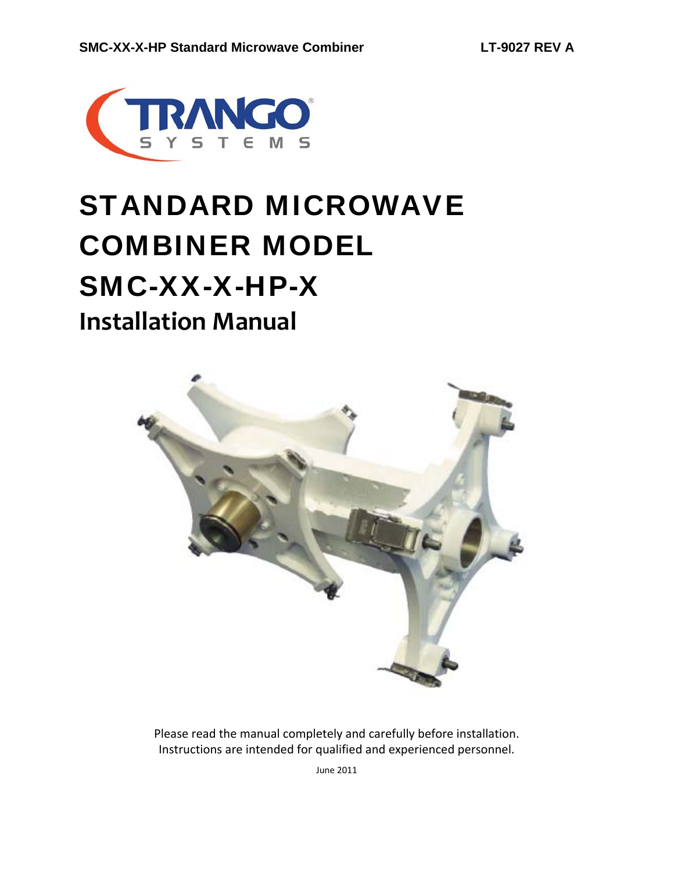

# STANDARD MICROWAVE COMBINER MODEL SMC-XX-X-HP-X **Installation Manual**



Please read the manual completely and carefully before installation. Instructions are intended for qualified and experienced personnel.

June 2011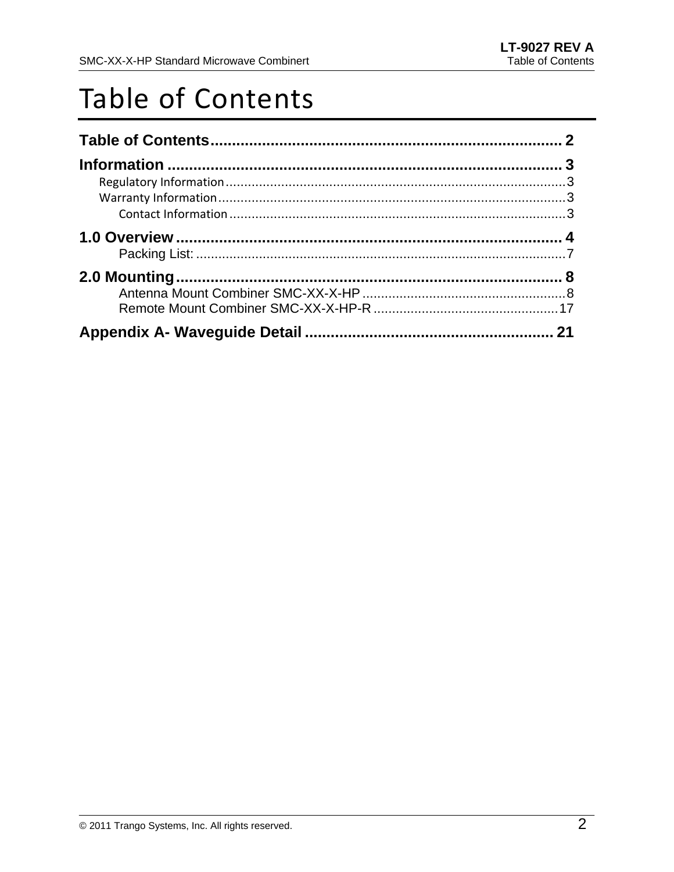## Table of Contents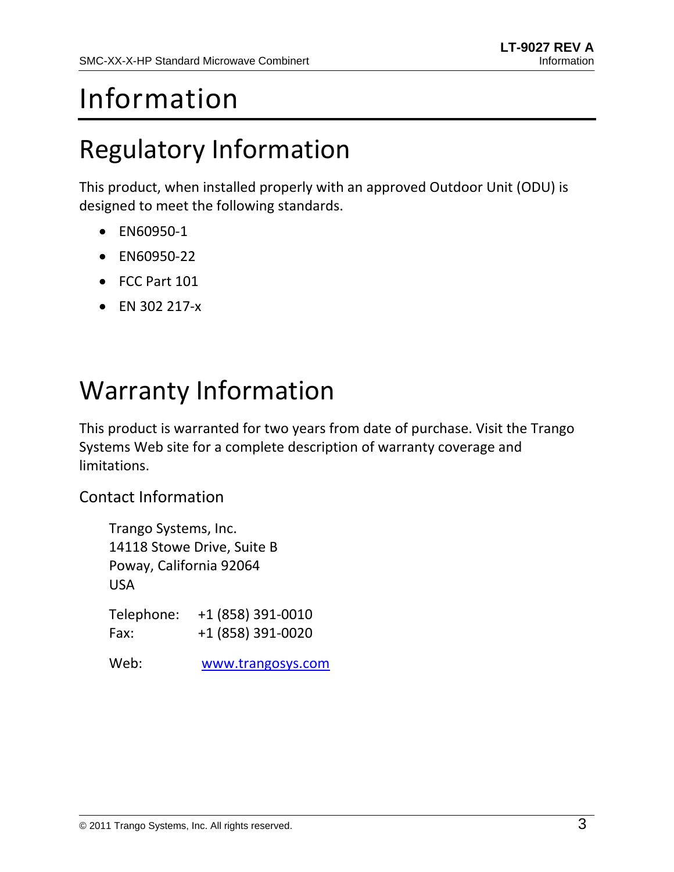# Information

### Regulatory Information

This product, when installed properly with an approved Outdoor Unit (ODU) is designed to meet the following standards.

- EN60950‐1
- EN60950-22
- FCC Part 101
- EN 302 217‐x

### Warranty Information

This product is warranted for two years from date of purchase. Visit the Trango Systems Web site for a complete description of warranty coverage and limitations.

Contact Information

Trango Systems, Inc. 14118 Stowe Drive, Suite B Poway, California 92064 USA

Telephone: +1 (858) 391‐0010 Fax: +1 (858) 391‐0020

Web: www.trangosys.com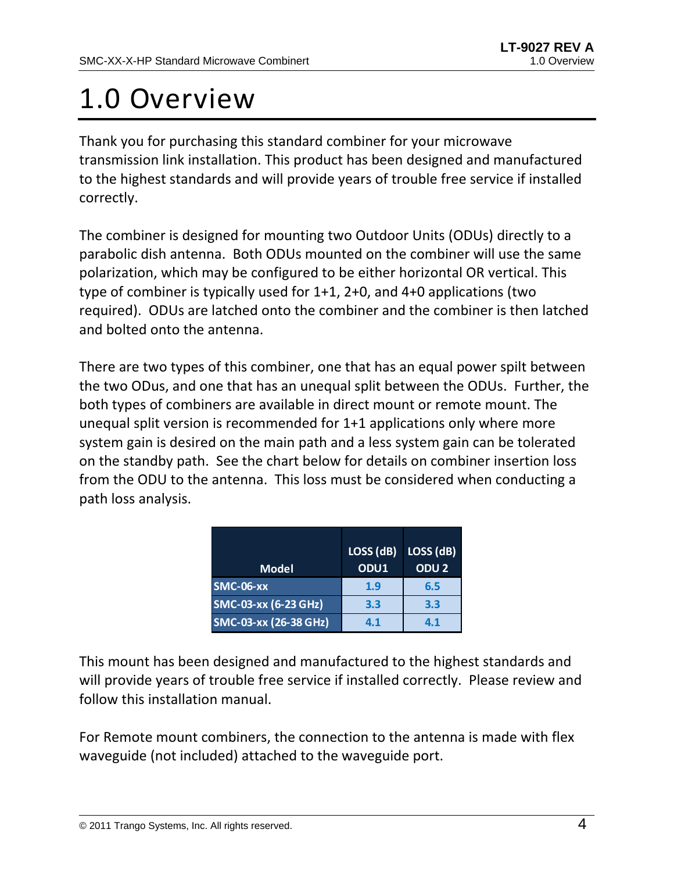# 1.0 Overview

Thank you for purchasing this standard combiner for your microwave transmission link installation. This product has been designed and manufactured to the highest standards and will provide years of trouble free service if installed correctly.

The combiner is designed for mounting two Outdoor Units (ODUs) directly to a parabolic dish antenna. Both ODUs mounted on the combiner will use the same polarization, which may be configured to be either horizontal OR vertical. This type of combiner is typically used for 1+1, 2+0, and 4+0 applications (two required). ODUs are latched onto the combiner and the combiner is then latched and bolted onto the antenna.

There are two types of this combiner, one that has an equal power spilt between the two ODus, and one that has an unequal split between the ODUs. Further, the both types of combiners are available in direct mount or remote mount. The unequal split version is recommended for 1+1 applications only where more system gain is desired on the main path and a less system gain can be tolerated on the standby path. See the chart below for details on combiner insertion loss from the ODU to the antenna. This loss must be considered when conducting a path loss analysis.

| <b>Model</b>          | LOSS (dB)<br>ODU1 | LOSS <sub>(dB)</sub><br>ODU <sub>2</sub> |
|-----------------------|-------------------|------------------------------------------|
| <b>SMC-06-XX</b>      | 1.9               | 6.5                                      |
| SMC-03-xx (6-23 GHz)  | 3.3               | 3.3                                      |
| SMC-03-xx (26-38 GHz) | 4.1               | 4.1                                      |

This mount has been designed and manufactured to the highest standards and will provide years of trouble free service if installed correctly. Please review and follow this installation manual.

For Remote mount combiners, the connection to the antenna is made with flex waveguide (not included) attached to the waveguide port.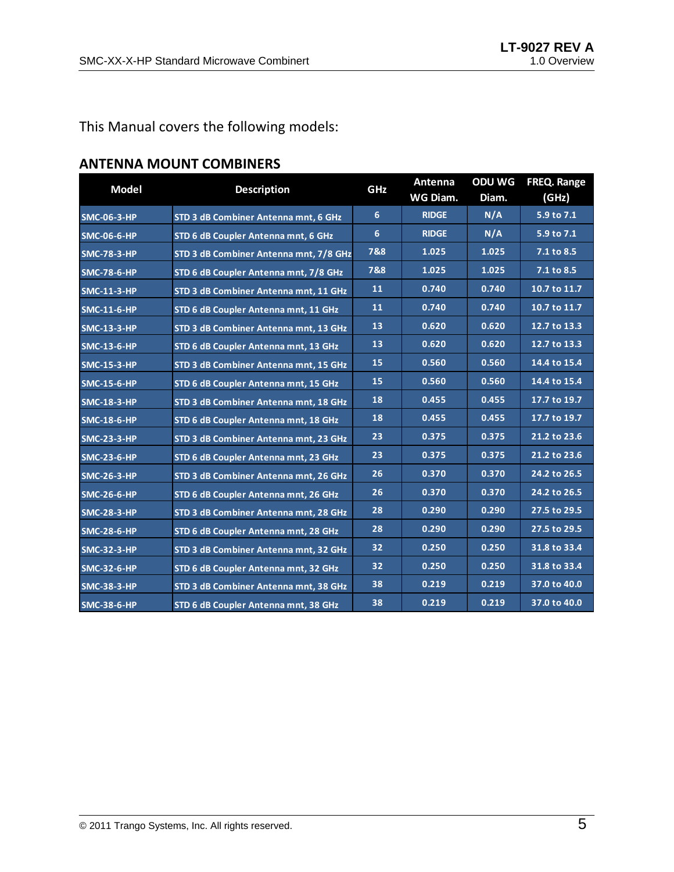#### This Manual covers the following models:

| <b>Model</b>       | <b>Description</b>                     | GHz | Antenna<br>WG Diam. | <b>ODU WG</b><br>Diam. | FREQ. Range<br>(GHz) |
|--------------------|----------------------------------------|-----|---------------------|------------------------|----------------------|
| <b>SMC-06-3-HP</b> | STD 3 dB Combiner Antenna mnt, 6 GHz   | 6   | <b>RIDGE</b>        | N/A                    | 5.9 to 7.1           |
| <b>SMC-06-6-HP</b> | STD 6 dB Coupler Antenna mnt, 6 GHz    | 6   | <b>RIDGE</b>        | N/A                    | 5.9 to 7.1           |
| <b>SMC-78-3-HP</b> | STD 3 dB Combiner Antenna mnt, 7/8 GHz | 7&8 | 1.025               | 1.025                  | 7.1 to 8.5           |
| <b>SMC-78-6-HP</b> | STD 6 dB Coupler Antenna mnt, 7/8 GHz  | 7&8 | 1.025               | 1.025                  | 7.1 to 8.5           |
| <b>SMC-11-3-HP</b> | STD 3 dB Combiner Antenna mnt, 11 GHz  | 11  | 0.740               | 0.740                  | 10.7 to 11.7         |
| <b>SMC-11-6-HP</b> | STD 6 dB Coupler Antenna mnt, 11 GHz   | 11  | 0.740               | 0.740                  | 10.7 to 11.7         |
| <b>SMC-13-3-HP</b> | STD 3 dB Combiner Antenna mnt, 13 GHz  | 13  | 0.620               | 0.620                  | 12.7 to 13.3         |
| <b>SMC-13-6-HP</b> | STD 6 dB Coupler Antenna mnt, 13 GHz   | 13  | 0.620               | 0.620                  | 12.7 to 13.3         |
| <b>SMC-15-3-HP</b> | STD 3 dB Combiner Antenna mnt, 15 GHz  | 15  | 0.560               | 0.560                  | 14.4 to 15.4         |
| <b>SMC-15-6-HP</b> | STD 6 dB Coupler Antenna mnt, 15 GHz   | 15  | 0.560               | 0.560                  | 14.4 to 15.4         |
| <b>SMC-18-3-HP</b> | STD 3 dB Combiner Antenna mnt, 18 GHz  | 18  | 0.455               | 0.455                  | 17.7 to 19.7         |
| <b>SMC-18-6-HP</b> | STD 6 dB Coupler Antenna mnt, 18 GHz   | 18  | 0.455               | 0.455                  | 17.7 to 19.7         |
| <b>SMC-23-3-HP</b> | STD 3 dB Combiner Antenna mnt, 23 GHz  | 23  | 0.375               | 0.375                  | 21.2 to 23.6         |
| <b>SMC-23-6-HP</b> | STD 6 dB Coupler Antenna mnt, 23 GHz   | 23  | 0.375               | 0.375                  | 21.2 to 23.6         |
| <b>SMC-26-3-HP</b> | STD 3 dB Combiner Antenna mnt, 26 GHz  | 26  | 0.370               | 0.370                  | 24.2 to 26.5         |
| <b>SMC-26-6-HP</b> | STD 6 dB Coupler Antenna mnt, 26 GHz   | 26  | 0.370               | 0.370                  | 24.2 to 26.5         |
| <b>SMC-28-3-HP</b> | STD 3 dB Combiner Antenna mnt, 28 GHz  | 28  | 0.290               | 0.290                  | 27.5 to 29.5         |
| <b>SMC-28-6-HP</b> | STD 6 dB Coupler Antenna mnt, 28 GHz   | 28  | 0.290               | 0.290                  | 27.5 to 29.5         |
| <b>SMC-32-3-HP</b> | STD 3 dB Combiner Antenna mnt, 32 GHz  | 32  | 0.250               | 0.250                  | 31.8 to 33.4         |
| <b>SMC-32-6-HP</b> | STD 6 dB Coupler Antenna mnt, 32 GHz   | 32  | 0.250               | 0.250                  | 31.8 to 33.4         |
| <b>SMC-38-3-HP</b> | STD 3 dB Combiner Antenna mnt, 38 GHz  | 38  | 0.219               | 0.219                  | 37.0 to 40.0         |
| <b>SMC-38-6-HP</b> | STD 6 dB Coupler Antenna mnt, 38 GHz   | 38  | 0.219               | 0.219                  | 37.0 to 40.0         |

#### **ANTENNA MOUNT COMBINERS**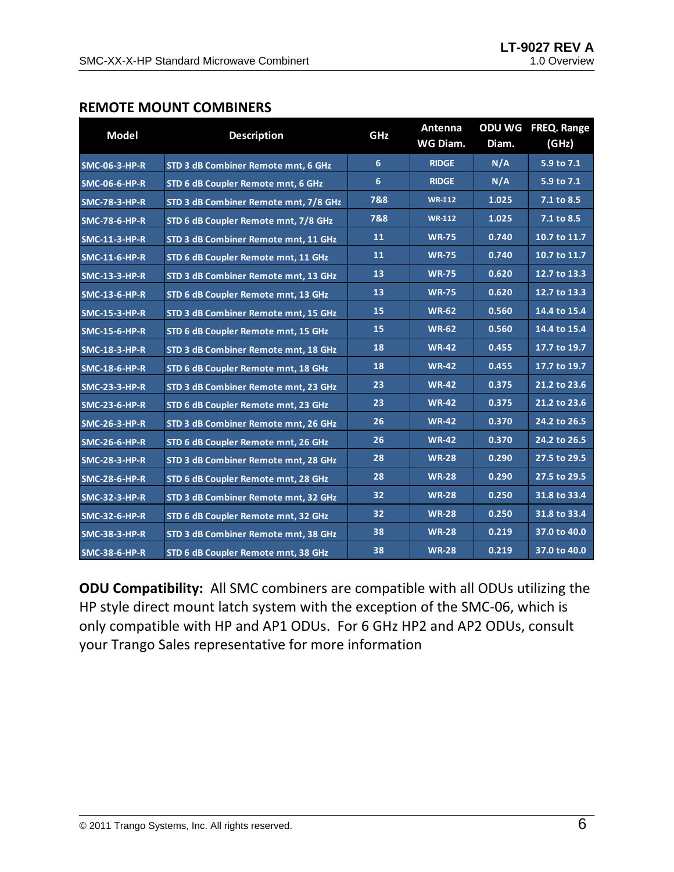#### **REMOTE MOUNT COMBINERS**

| <b>Model</b>         | <b>Description</b>                    | GHz | Antenna<br>WG Diam. | Diam. | ODU WG FREQ. Range<br>(GHz) |
|----------------------|---------------------------------------|-----|---------------------|-------|-----------------------------|
| <b>SMC-06-3-HP-R</b> | STD 3 dB Combiner Remote mnt, 6 GHz   | 6   | <b>RIDGE</b>        | N/A   | 5.9 to 7.1                  |
| <b>SMC-06-6-HP-R</b> | STD 6 dB Coupler Remote mnt, 6 GHz    | 6   | <b>RIDGE</b>        | N/A   | 5.9 to 7.1                  |
| <b>SMC-78-3-HP-R</b> | STD 3 dB Combiner Remote mnt, 7/8 GHz | 7&8 | <b>WR-112</b>       | 1.025 | 7.1 to 8.5                  |
| <b>SMC-78-6-HP-R</b> | STD 6 dB Coupler Remote mnt, 7/8 GHz  | 7&8 | $WR-112$            | 1.025 | 7.1 to 8.5                  |
| <b>SMC-11-3-HP-R</b> | STD 3 dB Combiner Remote mnt, 11 GHz  | 11  | <b>WR-75</b>        | 0.740 | 10.7 to 11.7                |
| <b>SMC-11-6-HP-R</b> | STD 6 dB Coupler Remote mnt, 11 GHz   | 11  | <b>WR-75</b>        | 0.740 | 10.7 to 11.7                |
| <b>SMC-13-3-HP-R</b> | STD 3 dB Combiner Remote mnt, 13 GHz  | 13  | <b>WR-75</b>        | 0.620 | 12.7 to 13.3                |
| <b>SMC-13-6-HP-R</b> | STD 6 dB Coupler Remote mnt, 13 GHz   | 13  | <b>WR-75</b>        | 0.620 | 12.7 to 13.3                |
| <b>SMC-15-3-HP-R</b> | STD 3 dB Combiner Remote mnt, 15 GHz  | 15  | <b>WR-62</b>        | 0.560 | 14.4 to 15.4                |
| <b>SMC-15-6-HP-R</b> | STD 6 dB Coupler Remote mnt, 15 GHz   | 15  | <b>WR-62</b>        | 0.560 | 14.4 to 15.4                |
| <b>SMC-18-3-HP-R</b> | STD 3 dB Combiner Remote mnt, 18 GHz  | 18  | <b>WR-42</b>        | 0.455 | 17.7 to 19.7                |
| <b>SMC-18-6-HP-R</b> | STD 6 dB Coupler Remote mnt, 18 GHz   | 18  | <b>WR-42</b>        | 0.455 | 17.7 to 19.7                |
| <b>SMC-23-3-HP-R</b> | STD 3 dB Combiner Remote mnt, 23 GHz  | 23  | <b>WR-42</b>        | 0.375 | 21.2 to 23.6                |
| <b>SMC-23-6-HP-R</b> | STD 6 dB Coupler Remote mnt, 23 GHz   | 23  | <b>WR-42</b>        | 0.375 | 21.2 to 23.6                |
| <b>SMC-26-3-HP-R</b> | STD 3 dB Combiner Remote mnt, 26 GHz  | 26  | <b>WR-42</b>        | 0.370 | 24.2 to 26.5                |
| <b>SMC-26-6-HP-R</b> | STD 6 dB Coupler Remote mnt, 26 GHz   | 26  | <b>WR-42</b>        | 0.370 | 24.2 to 26.5                |
| <b>SMC-28-3-HP-R</b> | STD 3 dB Combiner Remote mnt, 28 GHz  | 28  | <b>WR-28</b>        | 0.290 | 27.5 to 29.5                |
| <b>SMC-28-6-HP-R</b> | STD 6 dB Coupler Remote mnt, 28 GHz   | 28  | <b>WR-28</b>        | 0.290 | 27.5 to 29.5                |
| <b>SMC-32-3-HP-R</b> | STD 3 dB Combiner Remote mnt, 32 GHz  | 32  | <b>WR-28</b>        | 0.250 | 31.8 to 33.4                |
| <b>SMC-32-6-HP-R</b> | STD 6 dB Coupler Remote mnt, 32 GHz   | 32  | <b>WR-28</b>        | 0.250 | 31.8 to 33.4                |
| <b>SMC-38-3-HP-R</b> | STD 3 dB Combiner Remote mnt, 38 GHz  | 38  | <b>WR-28</b>        | 0.219 | 37.0 to 40.0                |
| <b>SMC-38-6-HP-R</b> | STD 6 dB Coupler Remote mnt, 38 GHz   | 38  | <b>WR-28</b>        | 0.219 | 37.0 to 40.0                |

**ODU Compatibility:** All SMC combiners are compatible with all ODUs utilizing the HP style direct mount latch system with the exception of the SMC‐06, which is only compatible with HP and AP1 ODUs. For 6 GHz HP2 and AP2 ODUs, consult your Trango Sales representative for more information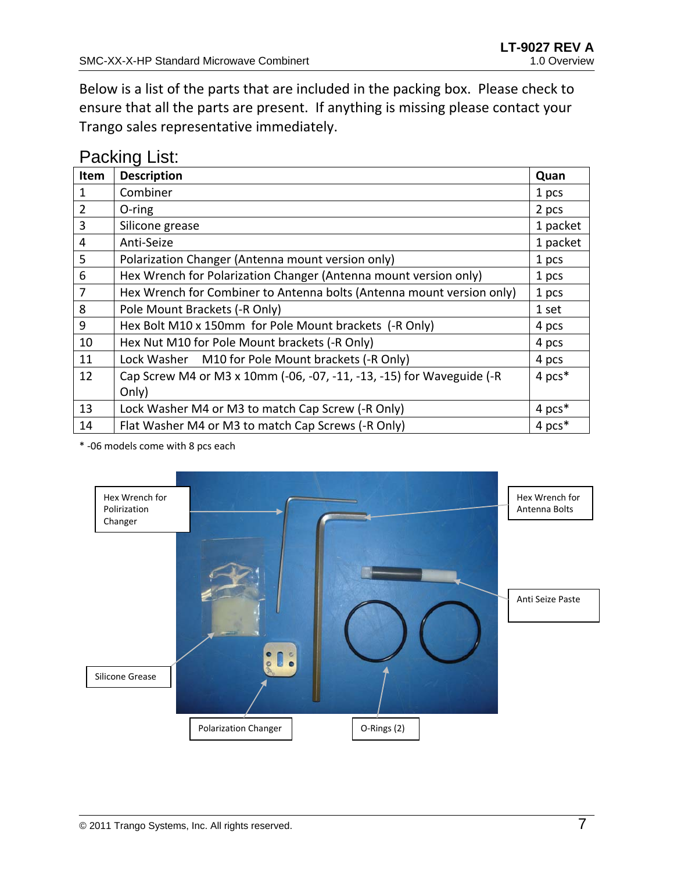Below is a list of the parts that are included in the packing box. Please check to ensure that all the parts are present. If anything is missing please contact your Trango sales representative immediately.

### Packing List:

| Item           | <b>Description</b>                                                    | Quan     |
|----------------|-----------------------------------------------------------------------|----------|
| 1              | Combiner                                                              | 1 pcs    |
| $\overline{2}$ | $O$ -ring                                                             | 2 pcs    |
| 3              | Silicone grease                                                       | 1 packet |
| 4              | Anti-Seize                                                            | 1 packet |
| 5              | Polarization Changer (Antenna mount version only)                     | 1 pcs    |
| 6              | Hex Wrench for Polarization Changer (Antenna mount version only)      | 1 pcs    |
| $\overline{7}$ | Hex Wrench for Combiner to Antenna bolts (Antenna mount version only) | 1 pcs    |
| 8              | Pole Mount Brackets (-R Only)                                         | 1 set    |
| 9              | Hex Bolt M10 x 150mm for Pole Mount brackets (-R Only)                | 4 pcs    |
| 10             | Hex Nut M10 for Pole Mount brackets (-R Only)                         | 4 pcs    |
| 11             | M10 for Pole Mount brackets (-R Only)<br>Lock Washer                  | 4 pcs    |
| 12             | Cap Screw M4 or M3 x 10mm (-06, -07, -11, -13, -15) for Waveguide (-R | 4 pcs*   |
|                | Only)                                                                 |          |
| 13             | Lock Washer M4 or M3 to match Cap Screw (-R Only)                     | 4 pcs*   |
| 14             | Flat Washer M4 or M3 to match Cap Screws (-R Only)                    | 4 pcs*   |

\* ‐06 models come with 8 pcs each

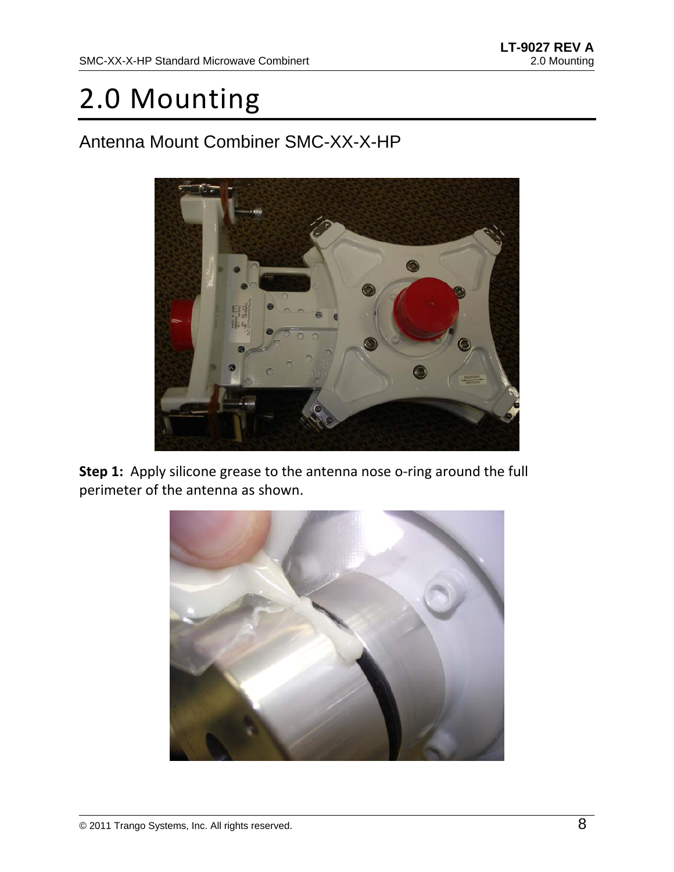## 2.0 Mounting

### Antenna Mount Combiner SMC-XX-X-HP



**Step 1:** Apply silicone grease to the antenna nose o-ring around the full perimeter of the antenna as shown.

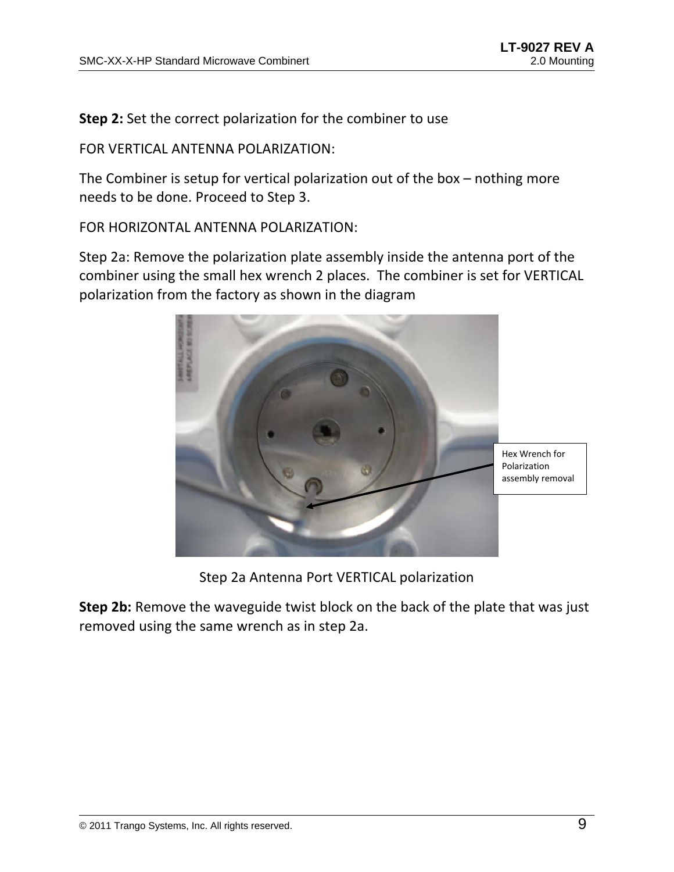**Step 2:** Set the correct polarization for the combiner to use

FOR VERTICAL ANTENNA POLARIZATION:

The Combiner is setup for vertical polarization out of the box – nothing more needs to be done. Proceed to Step 3.

FOR HORIZONTAL ANTENNA POLARIZATION:

Step 2a: Remove the polarization plate assembly inside the antenna port of the combiner using the small hex wrench 2 places. The combiner is set for VERTICAL polarization from the factory as shown in the diagram



Step 2a Antenna Port VERTICAL polarization

**Step 2b:** Remove the waveguide twist block on the back of the plate that was just removed using the same wrench as in step 2a.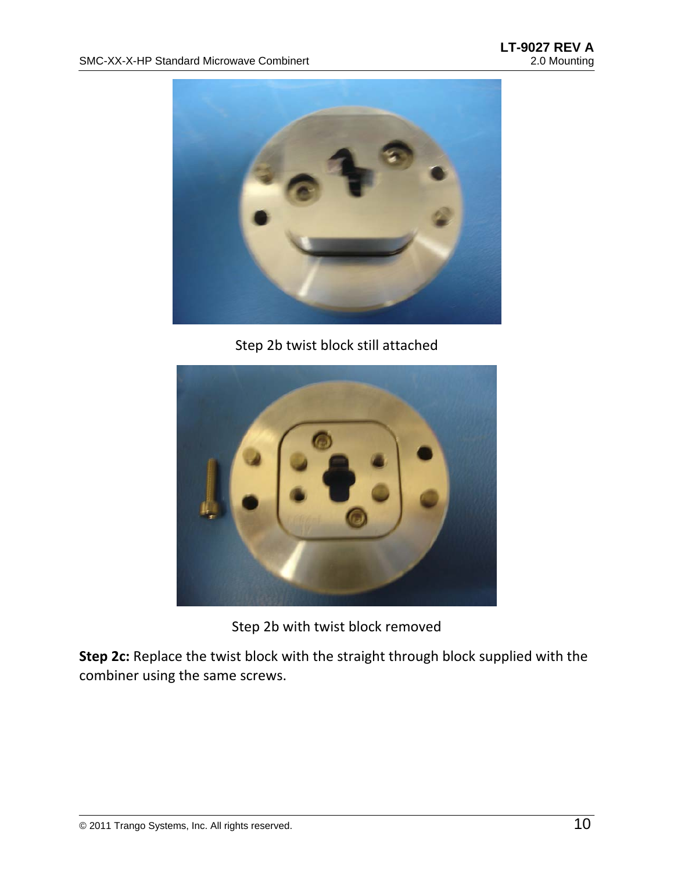

Step 2b twist block still attached



Step 2b with twist block removed

**Step 2c:** Replace the twist block with the straight through block supplied with the combiner using the same screws.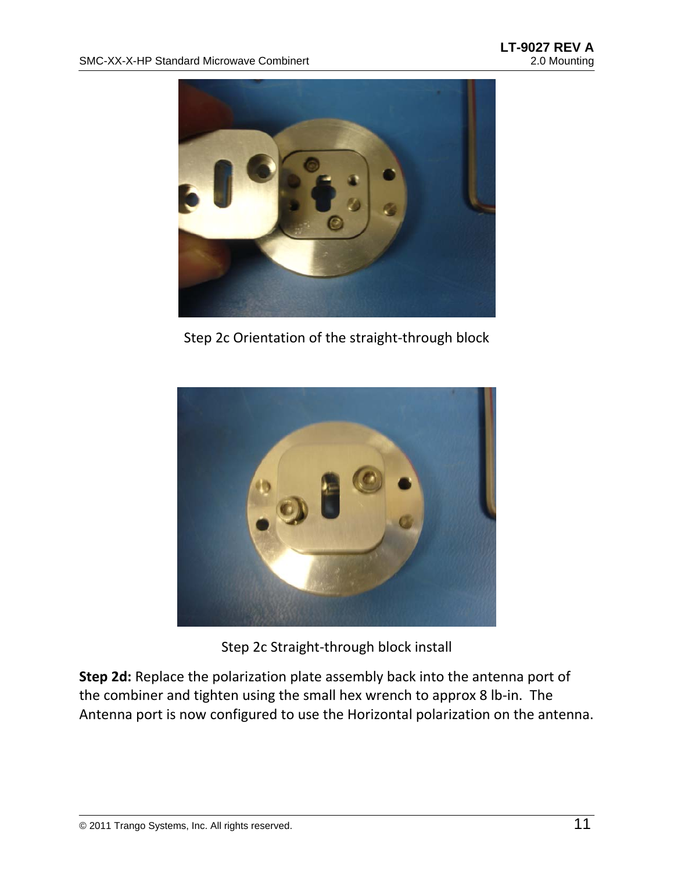

Step 2c Orientation of the straight‐through block



Step 2c Straight‐through block install

**Step 2d:** Replace the polarization plate assembly back into the antenna port of the combiner and tighten using the small hex wrench to approx 8 lb‐in. The Antenna port is now configured to use the Horizontal polarization on the antenna.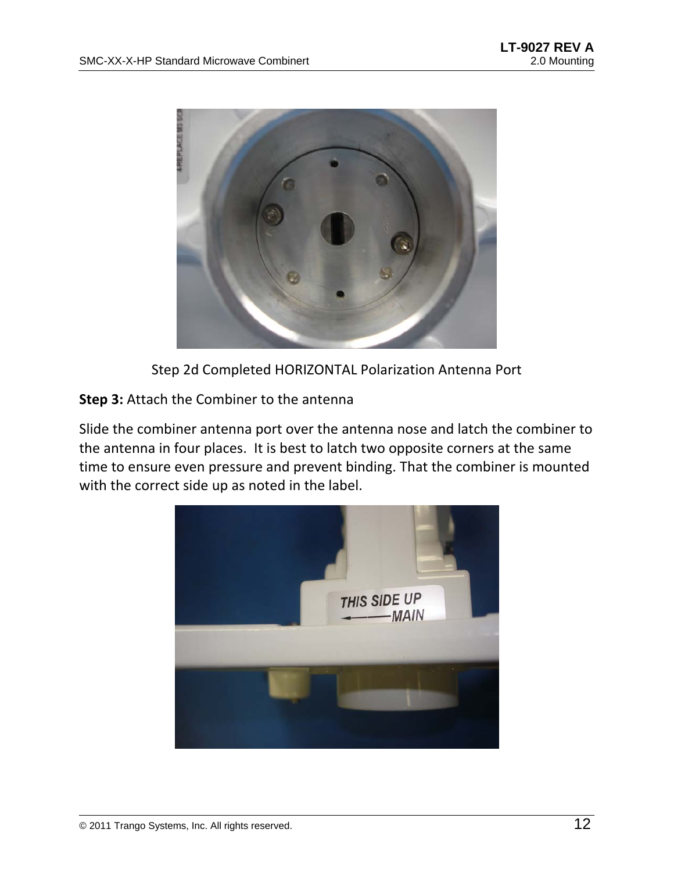

Step 2d Completed HORIZONTAL Polarization Antenna Port

**Step 3:** Attach the Combiner to the antenna

Slide the combiner antenna port over the antenna nose and latch the combiner to the antenna in four places. It is best to latch two opposite corners at the same time to ensure even pressure and prevent binding. That the combiner is mounted with the correct side up as noted in the label.

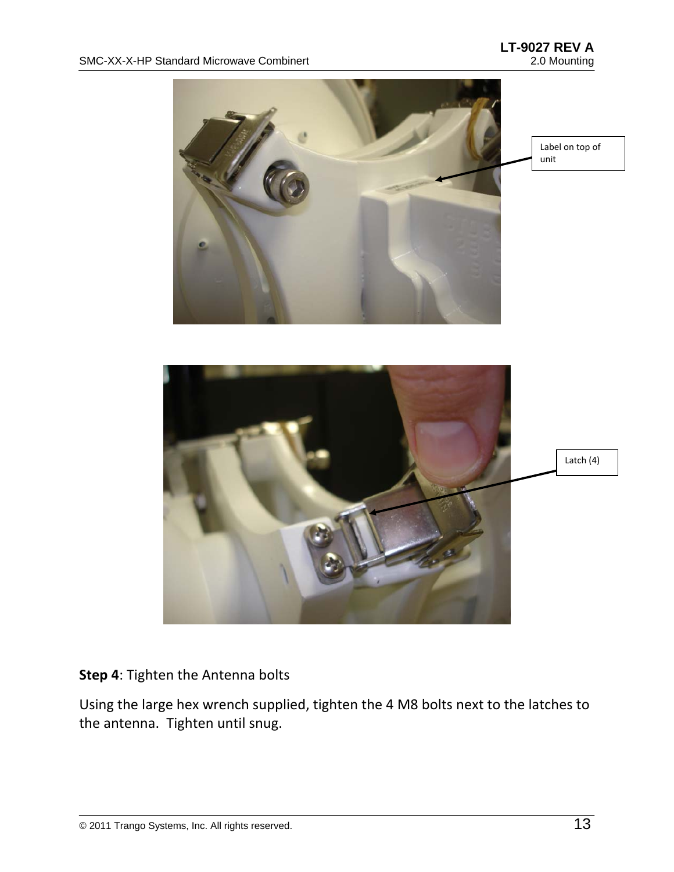

#### **Step 4**: Tighten the Antenna bolts

Using the large hex wrench supplied, tighten the 4 M8 bolts next to the latches to the antenna. Tighten until snug.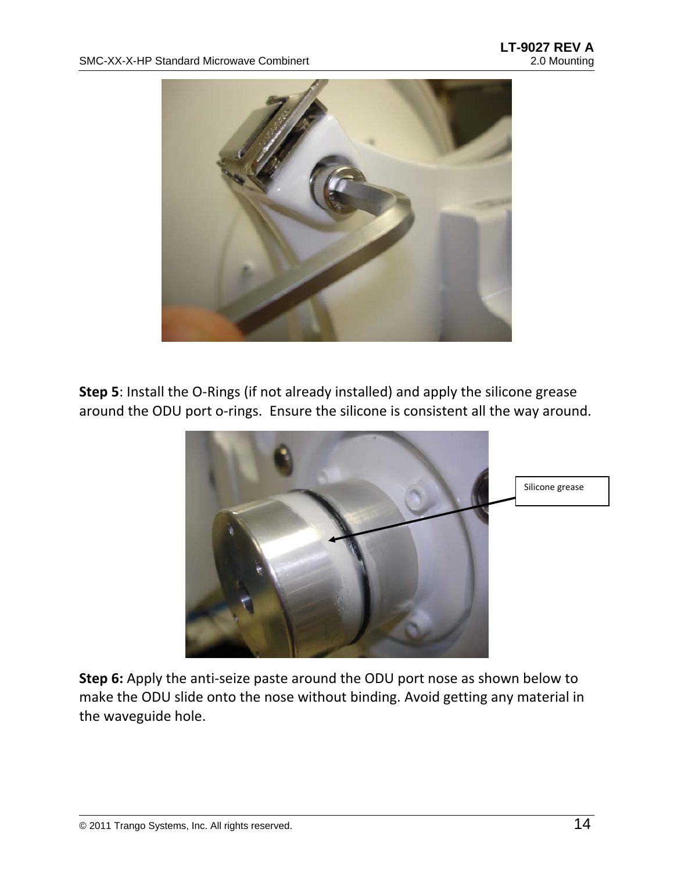

**Step 5**: Install the O‐Rings (if not already installed) and apply the silicone grease around the ODU port o-rings. Ensure the silicone is consistent all the way around.



**Step 6:** Apply the anti‐seize paste around the ODU port nose as shown below to make the ODU slide onto the nose without binding. Avoid getting any material in the waveguide hole.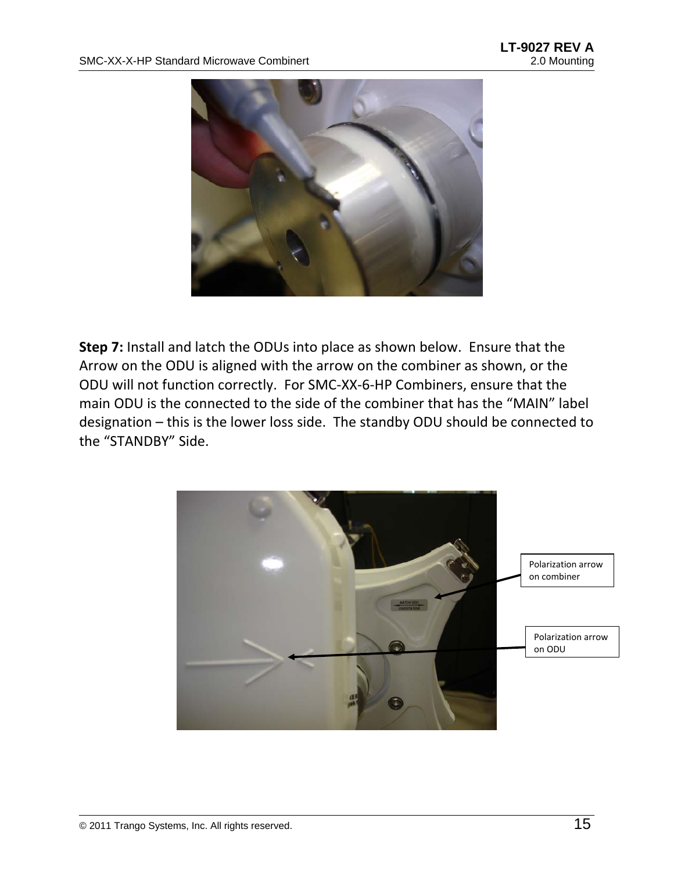

**Step 7:** Install and latch the ODUs into place as shown below. Ensure that the Arrow on the ODU is aligned with the arrow on the combiner as shown, or the ODU will not function correctly. For SMC‐XX‐6‐HP Combiners, ensure that the main ODU is the connected to the side of the combiner that has the "MAIN" label designation – this is the lower loss side. The standby ODU should be connected to the "STANDBY" Side.

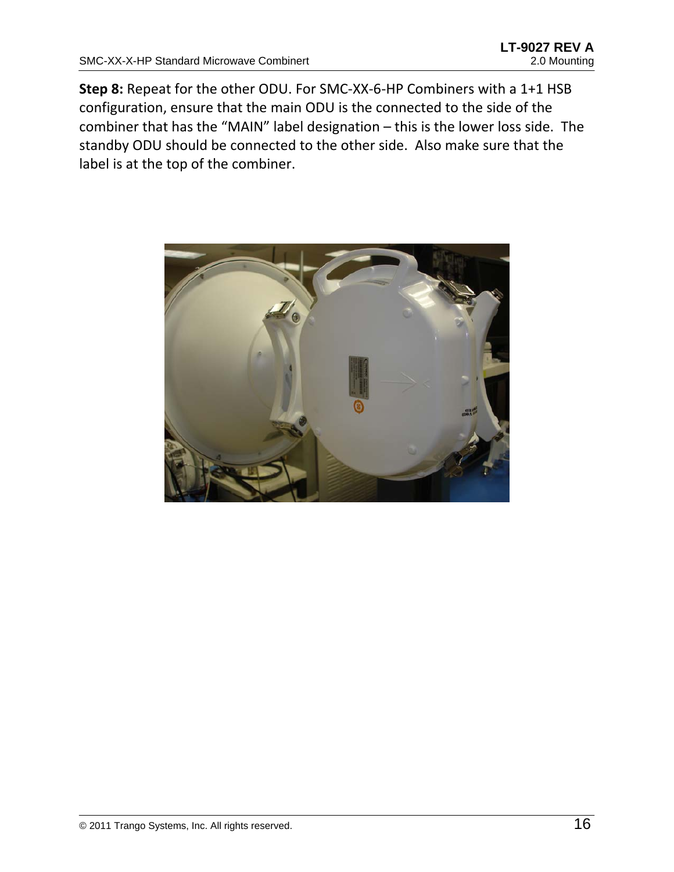**Step 8:** Repeat for the other ODU. For SMC‐XX‐6‐HP Combiners with a 1+1 HSB configuration, ensure that the main ODU is the connected to the side of the combiner that has the "MAIN" label designation – this is the lower loss side. The standby ODU should be connected to the other side. Also make sure that the label is at the top of the combiner.

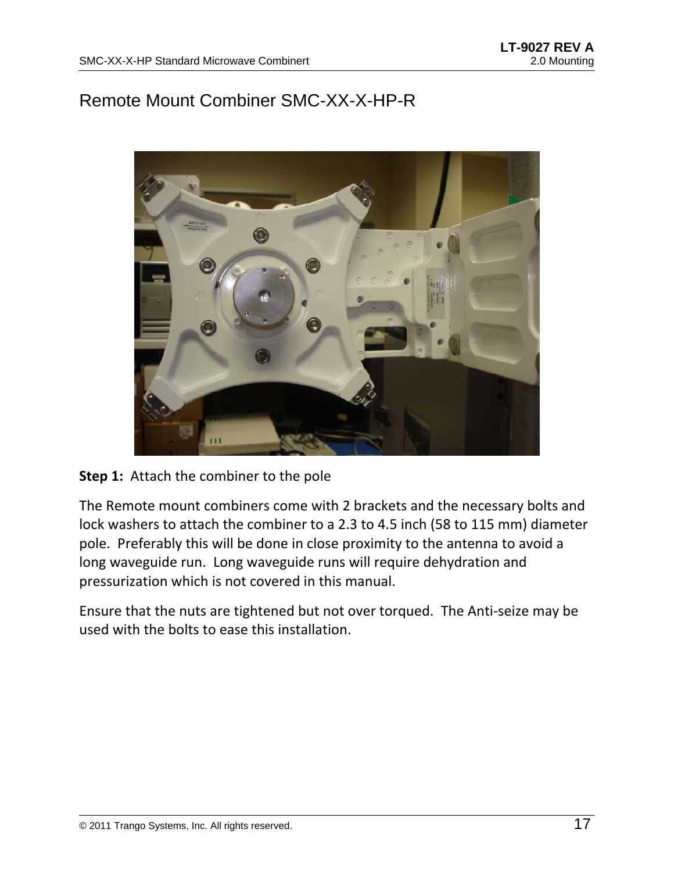### Remote Mount Combiner SMC-XX-X-HP-R



#### **Step 1:** Attach the combiner to the pole

The Remote mount combiners come with 2 brackets and the necessary bolts and lock washers to attach the combiner to a 2.3 to 4.5 inch (58 to 115 mm) diameter pole. Preferably this will be done in close proximity to the antenna to avoid a long waveguide run. Long waveguide runs will require dehydration and pressurization which is not covered in this manual.

Ensure that the nuts are tightened but not over torqued. The Anti‐seize may be used with the bolts to ease this installation.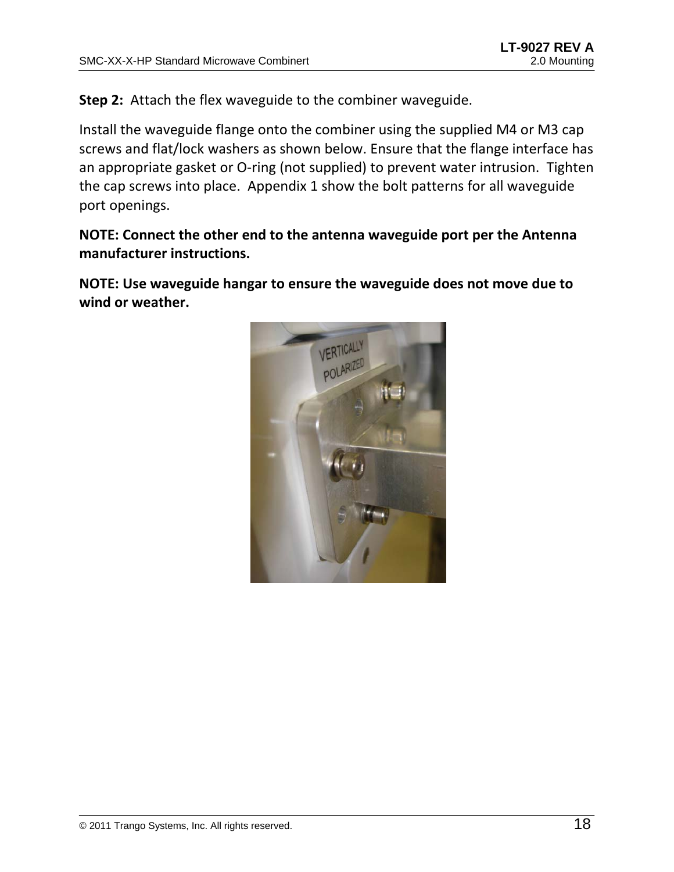**Step 2:** Attach the flex waveguide to the combiner waveguide.

Install the waveguide flange onto the combiner using the supplied M4 or M3 cap screws and flat/lock washers as shown below. Ensure that the flange interface has an appropriate gasket or O-ring (not supplied) to prevent water intrusion. Tighten the cap screws into place. Appendix 1 show the bolt patterns for all waveguide port openings.

**NOTE: Connect the other end to the antenna waveguide port per the Antenna manufacturer instructions.**

**NOTE: Use waveguide hangar to ensure the waveguide does not move due to wind or weather.** 

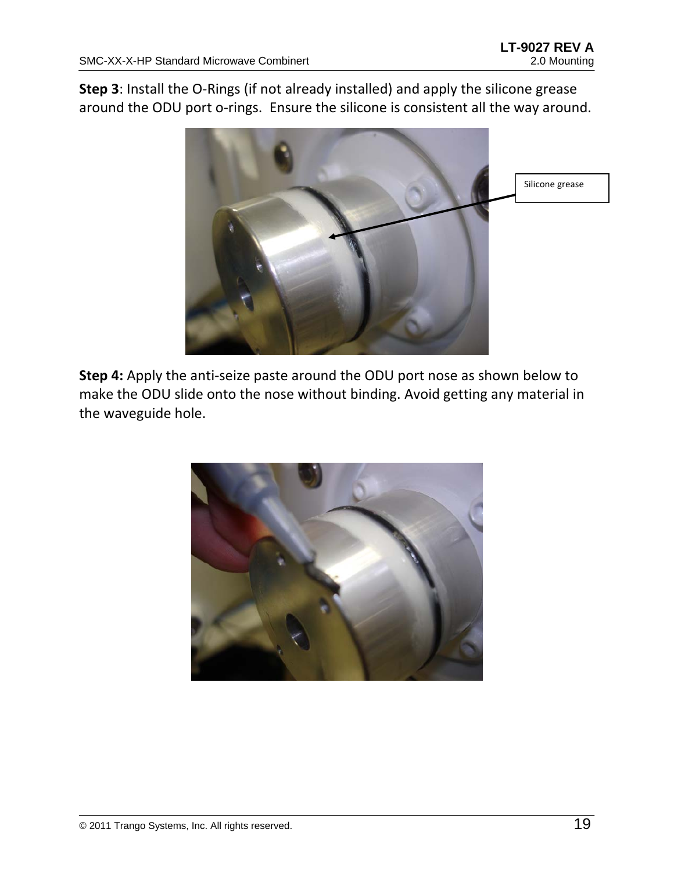**Step 3**: Install the O‐Rings (if not already installed) and apply the silicone grease around the ODU port o-rings. Ensure the silicone is consistent all the way around.



**Step 4:** Apply the anti‐seize paste around the ODU port nose as shown below to make the ODU slide onto the nose without binding. Avoid getting any material in the waveguide hole.

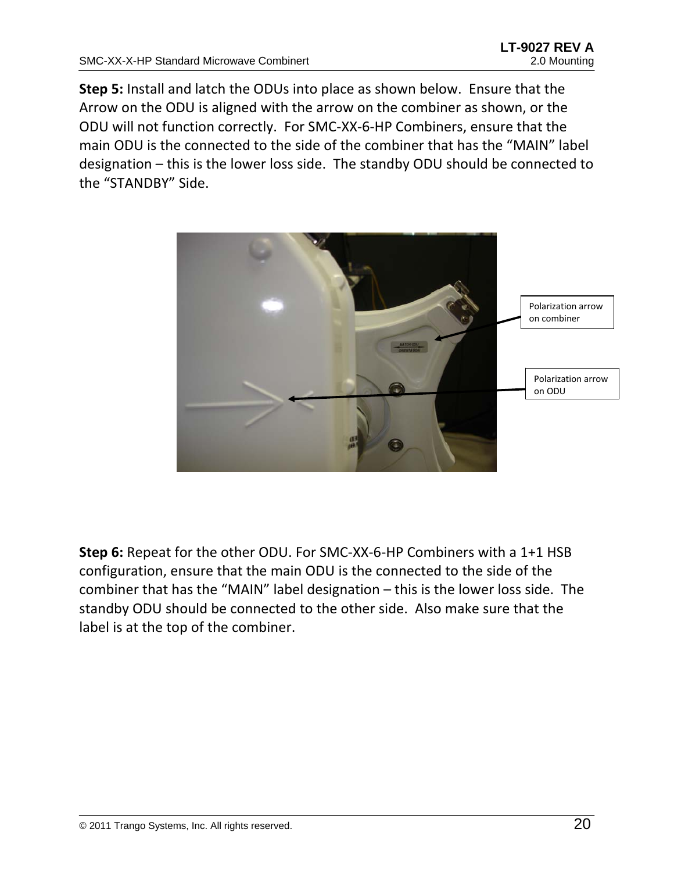**Step 5:** Install and latch the ODUs into place as shown below. Ensure that the Arrow on the ODU is aligned with the arrow on the combiner as shown, or the ODU will not function correctly. For SMC‐XX‐6‐HP Combiners, ensure that the main ODU is the connected to the side of the combiner that has the "MAIN" label designation – this is the lower loss side. The standby ODU should be connected to the "STANDBY" Side.



**Step 6:** Repeat for the other ODU. For SMC‐XX‐6‐HP Combiners with a 1+1 HSB configuration, ensure that the main ODU is the connected to the side of the combiner that has the "MAIN" label designation – this is the lower loss side. The standby ODU should be connected to the other side. Also make sure that the label is at the top of the combiner.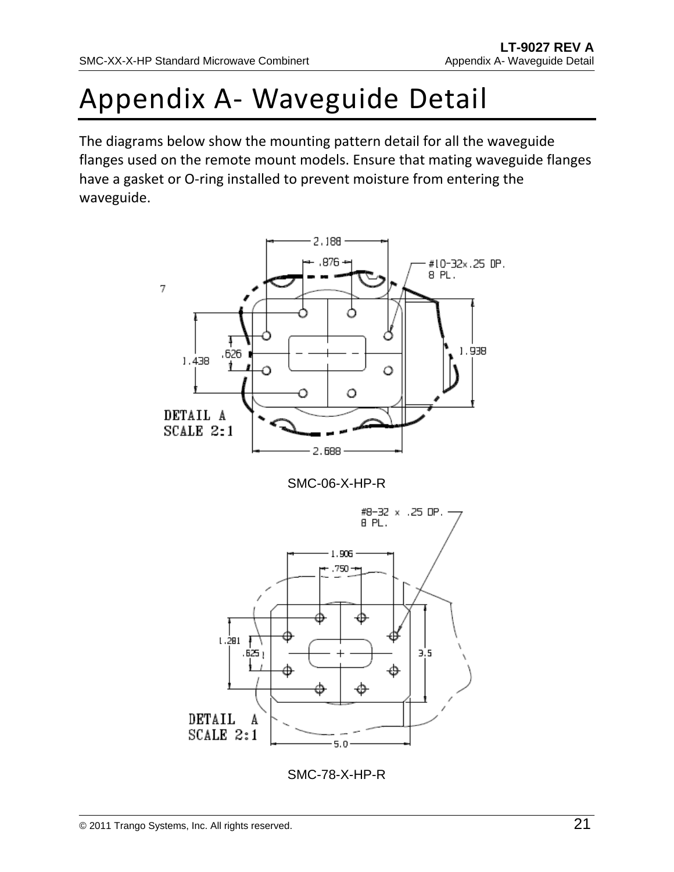# Appendix A‐ Waveguide Detail

The diagrams below show the mounting pattern detail for all the waveguide flanges used on the remote mount models. Ensure that mating waveguide flanges have a gasket or O-ring installed to prevent moisture from entering the waveguide.



SMC-06-X-HP-R



SMC-78-X-HP-R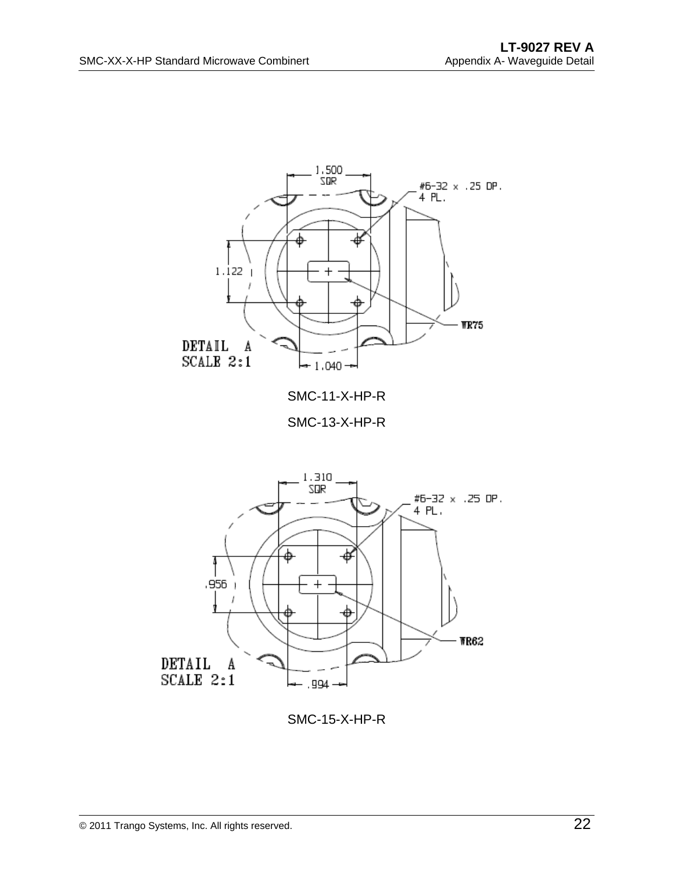

SMC-15-X-HP-R